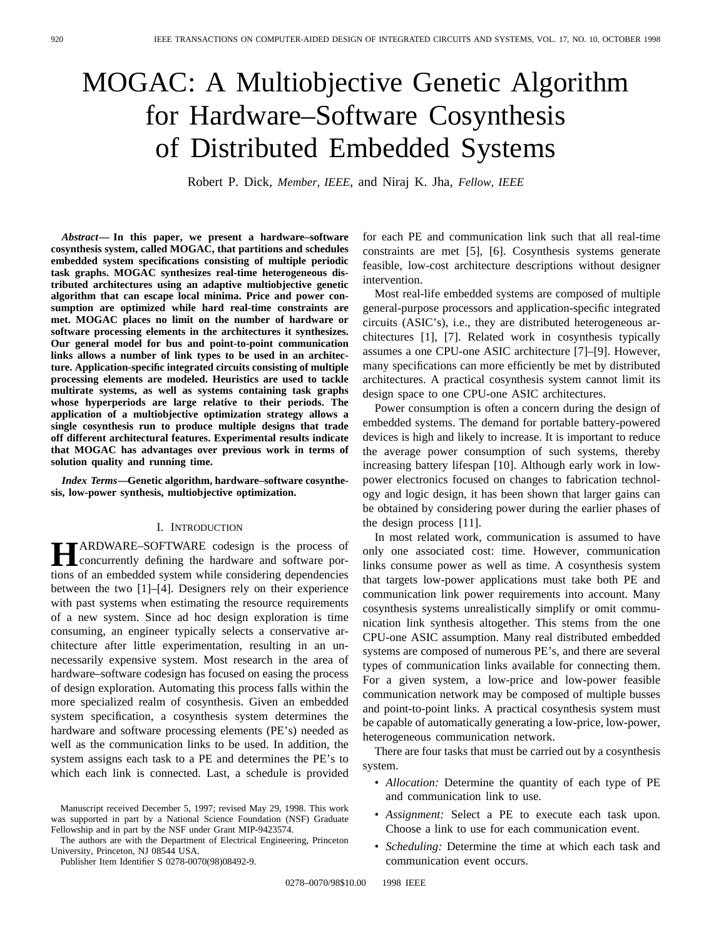# MOGAC: A Multiobjective Genetic Algorithm for Hardware–Software Cosynthesis of Distributed Embedded Systems

Robert P. Dick, *Member, IEEE*, and Niraj K. Jha, *Fellow, IEEE*

*Abstract—* **In this paper, we present a hardware–software cosynthesis system, called MOGAC, that partitions and schedules embedded system specifications consisting of multiple periodic task graphs. MOGAC synthesizes real-time heterogeneous distributed architectures using an adaptive multiobjective genetic algorithm that can escape local minima. Price and power consumption are optimized while hard real-time constraints are met. MOGAC places no limit on the number of hardware or software processing elements in the architectures it synthesizes. Our general model for bus and point-to-point communication links allows a number of link types to be used in an architecture. Application-specific integrated circuits consisting of multiple processing elements are modeled. Heuristics are used to tackle multirate systems, as well as systems containing task graphs whose hyperperiods are large relative to their periods. The application of a multiobjective optimization strategy allows a single cosynthesis run to produce multiple designs that trade off different architectural features. Experimental results indicate that MOGAC has advantages over previous work in terms of solution quality and running time.**

*Index Terms—***Genetic algorithm, hardware–software cosynthesis, low-power synthesis, multiobjective optimization.**

#### I. INTRODUCTION

**HE ARDWARE–SOFTWARE** codesign is the process of<br>concurrently defining the hardware and software por-<br>tions of an embedded quotam while considering dependencies concurrently defining the hardware and software portions of an embedded system while considering dependencies between the two [1]–[4]. Designers rely on their experience with past systems when estimating the resource requirements of a new system. Since ad hoc design exploration is time consuming, an engineer typically selects a conservative architecture after little experimentation, resulting in an unnecessarily expensive system. Most research in the area of hardware–software codesign has focused on easing the process of design exploration. Automating this process falls within the more specialized realm of cosynthesis. Given an embedded system specification, a cosynthesis system determines the hardware and software processing elements (PE's) needed as well as the communication links to be used. In addition, the system assigns each task to a PE and determines the PE's to which each link is connected. Last, a schedule is provided

The authors are with the Department of Electrical Engineering, Princeton University, Princeton, NJ 08544 USA.

Publisher Item Identifier S 0278-0070(98)08492-9.

for each PE and communication link such that all real-time constraints are met [5], [6]. Cosynthesis systems generate feasible, low-cost architecture descriptions without designer intervention.

Most real-life embedded systems are composed of multiple general-purpose processors and application-specific integrated circuits (ASIC's), i.e., they are distributed heterogeneous architectures [1], [7]. Related work in cosynthesis typically assumes a one CPU-one ASIC architecture [7]–[9]. However, many specifications can more efficiently be met by distributed architectures. A practical cosynthesis system cannot limit its design space to one CPU-one ASIC architectures.

Power consumption is often a concern during the design of embedded systems. The demand for portable battery-powered devices is high and likely to increase. It is important to reduce the average power consumption of such systems, thereby increasing battery lifespan [10]. Although early work in lowpower electronics focused on changes to fabrication technology and logic design, it has been shown that larger gains can be obtained by considering power during the earlier phases of the design process [11].

In most related work, communication is assumed to have only one associated cost: time. However, communication links consume power as well as time. A cosynthesis system that targets low-power applications must take both PE and communication link power requirements into account. Many cosynthesis systems unrealistically simplify or omit communication link synthesis altogether. This stems from the one CPU-one ASIC assumption. Many real distributed embedded systems are composed of numerous PE's, and there are several types of communication links available for connecting them. For a given system, a low-price and low-power feasible communication network may be composed of multiple busses and point-to-point links. A practical cosynthesis system must be capable of automatically generating a low-price, low-power, heterogeneous communication network.

There are four tasks that must be carried out by a cosynthesis system.

- *Allocation:* Determine the quantity of each type of PE and communication link to use.
- *Assignment:* Select a PE to execute each task upon. Choose a link to use for each communication event.
- *Scheduling:* Determine the time at which each task and communication event occurs.

Manuscript received December 5, 1997; revised May 29, 1998. This work was supported in part by a National Science Foundation (NSF) Graduate Fellowship and in part by the NSF under Grant MIP-9423574.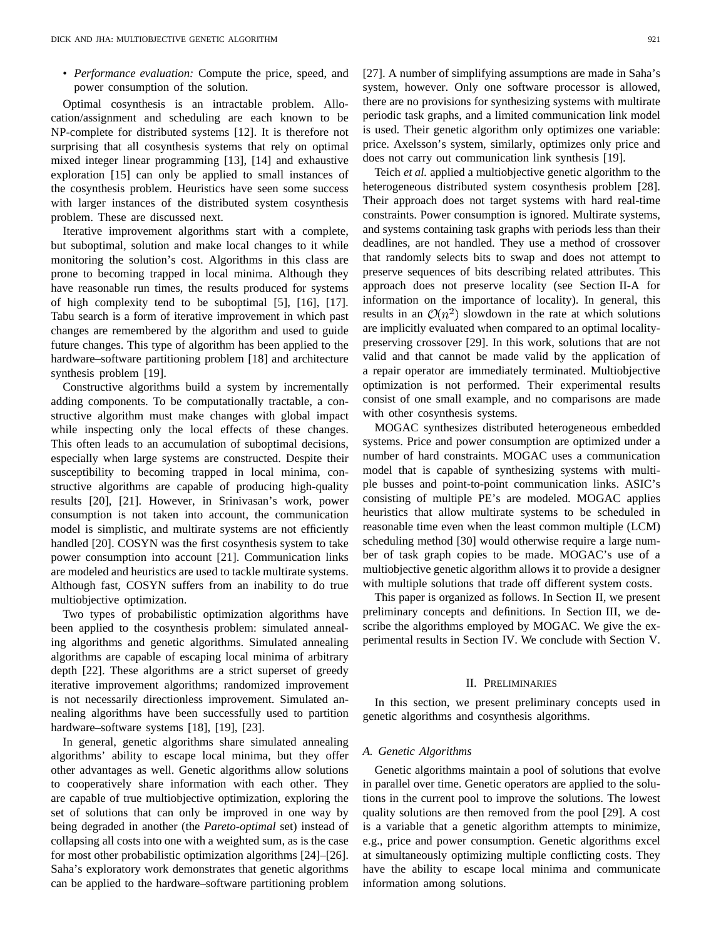• *Performance evaluation:* Compute the price, speed, and power consumption of the solution.

Optimal cosynthesis is an intractable problem. Allocation/assignment and scheduling are each known to be NP-complete for distributed systems [12]. It is therefore not surprising that all cosynthesis systems that rely on optimal mixed integer linear programming [13], [14] and exhaustive exploration [15] can only be applied to small instances of the cosynthesis problem. Heuristics have seen some success with larger instances of the distributed system cosynthesis problem. These are discussed next.

Iterative improvement algorithms start with a complete, but suboptimal, solution and make local changes to it while monitoring the solution's cost. Algorithms in this class are prone to becoming trapped in local minima. Although they have reasonable run times, the results produced for systems of high complexity tend to be suboptimal [5], [16], [17]. Tabu search is a form of iterative improvement in which past changes are remembered by the algorithm and used to guide future changes. This type of algorithm has been applied to the hardware–software partitioning problem [18] and architecture synthesis problem [19].

Constructive algorithms build a system by incrementally adding components. To be computationally tractable, a constructive algorithm must make changes with global impact while inspecting only the local effects of these changes. This often leads to an accumulation of suboptimal decisions, especially when large systems are constructed. Despite their susceptibility to becoming trapped in local minima, constructive algorithms are capable of producing high-quality results [20], [21]. However, in Srinivasan's work, power consumption is not taken into account, the communication model is simplistic, and multirate systems are not efficiently handled [20]. COSYN was the first cosynthesis system to take power consumption into account [21]. Communication links are modeled and heuristics are used to tackle multirate systems. Although fast, COSYN suffers from an inability to do true multiobjective optimization.

Two types of probabilistic optimization algorithms have been applied to the cosynthesis problem: simulated annealing algorithms and genetic algorithms. Simulated annealing algorithms are capable of escaping local minima of arbitrary depth [22]. These algorithms are a strict superset of greedy iterative improvement algorithms; randomized improvement is not necessarily directionless improvement. Simulated annealing algorithms have been successfully used to partition hardware–software systems [18], [19], [23].

In general, genetic algorithms share simulated annealing algorithms' ability to escape local minima, but they offer other advantages as well. Genetic algorithms allow solutions to cooperatively share information with each other. They are capable of true multiobjective optimization, exploring the set of solutions that can only be improved in one way by being degraded in another (the *Pareto-optimal* set) instead of collapsing all costs into one with a weighted sum, as is the case for most other probabilistic optimization algorithms [24]–[26]. Saha's exploratory work demonstrates that genetic algorithms can be applied to the hardware–software partitioning problem [27]. A number of simplifying assumptions are made in Saha's system, however. Only one software processor is allowed, there are no provisions for synthesizing systems with multirate periodic task graphs, and a limited communication link model is used. Their genetic algorithm only optimizes one variable: price. Axelsson's system, similarly, optimizes only price and does not carry out communication link synthesis [19].

Teich *et al.* applied a multiobjective genetic algorithm to the heterogeneous distributed system cosynthesis problem [28]. Their approach does not target systems with hard real-time constraints. Power consumption is ignored. Multirate systems, and systems containing task graphs with periods less than their deadlines, are not handled. They use a method of crossover that randomly selects bits to swap and does not attempt to preserve sequences of bits describing related attributes. This approach does not preserve locality (see Section II-A for information on the importance of locality). In general, this results in an  $\mathcal{O}(n^2)$  slowdown in the rate at which solutions are implicitly evaluated when compared to an optimal localitypreserving crossover [29]. In this work, solutions that are not valid and that cannot be made valid by the application of a repair operator are immediately terminated. Multiobjective optimization is not performed. Their experimental results consist of one small example, and no comparisons are made with other cosynthesis systems.

MOGAC synthesizes distributed heterogeneous embedded systems. Price and power consumption are optimized under a number of hard constraints. MOGAC uses a communication model that is capable of synthesizing systems with multiple busses and point-to-point communication links. ASIC's consisting of multiple PE's are modeled. MOGAC applies heuristics that allow multirate systems to be scheduled in reasonable time even when the least common multiple (LCM) scheduling method [30] would otherwise require a large number of task graph copies to be made. MOGAC's use of a multiobjective genetic algorithm allows it to provide a designer with multiple solutions that trade off different system costs.

This paper is organized as follows. In Section II, we present preliminary concepts and definitions. In Section III, we describe the algorithms employed by MOGAC. We give the experimental results in Section IV. We conclude with Section V.

# II. PRELIMINARIES

In this section, we present preliminary concepts used in genetic algorithms and cosynthesis algorithms.

# *A. Genetic Algorithms*

Genetic algorithms maintain a pool of solutions that evolve in parallel over time. Genetic operators are applied to the solutions in the current pool to improve the solutions. The lowest quality solutions are then removed from the pool [29]. A cost is a variable that a genetic algorithm attempts to minimize, e.g., price and power consumption. Genetic algorithms excel at simultaneously optimizing multiple conflicting costs. They have the ability to escape local minima and communicate information among solutions.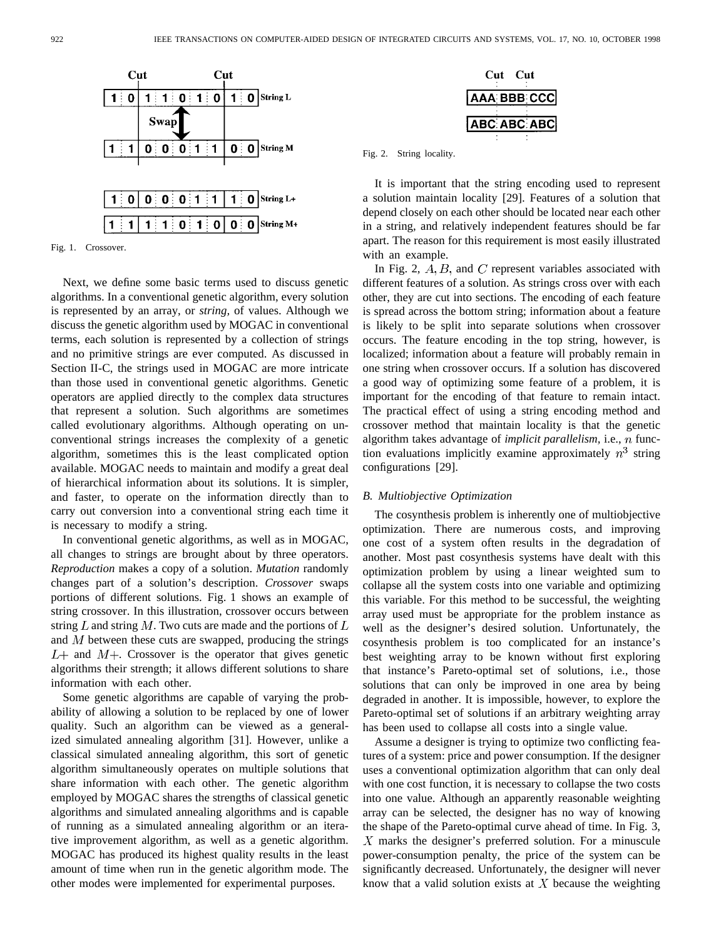

Fig. 1. Crossover.

Next, we define some basic terms used to discuss genetic algorithms. In a conventional genetic algorithm, every solution is represented by an array, or *string,* of values. Although we discuss the genetic algorithm used by MOGAC in conventional terms, each solution is represented by a collection of strings and no primitive strings are ever computed. As discussed in Section II-C, the strings used in MOGAC are more intricate than those used in conventional genetic algorithms. Genetic operators are applied directly to the complex data structures that represent a solution. Such algorithms are sometimes called evolutionary algorithms. Although operating on unconventional strings increases the complexity of a genetic algorithm, sometimes this is the least complicated option available. MOGAC needs to maintain and modify a great deal of hierarchical information about its solutions. It is simpler, and faster, to operate on the information directly than to carry out conversion into a conventional string each time it is necessary to modify a string.

In conventional genetic algorithms, as well as in MOGAC, all changes to strings are brought about by three operators. *Reproduction* makes a copy of a solution. *Mutation* randomly changes part of a solution's description. *Crossover* swaps portions of different solutions. Fig. 1 shows an example of string crossover. In this illustration, crossover occurs between string  $L$  and string  $M$ . Two cuts are made and the portions of  $L$ and  $M$  between these cuts are swapped, producing the strings  $L+$  and  $M+$ . Crossover is the operator that gives genetic algorithms their strength; it allows different solutions to share information with each other.

Some genetic algorithms are capable of varying the probability of allowing a solution to be replaced by one of lower quality. Such an algorithm can be viewed as a generalized simulated annealing algorithm [31]. However, unlike a classical simulated annealing algorithm, this sort of genetic algorithm simultaneously operates on multiple solutions that share information with each other. The genetic algorithm employed by MOGAC shares the strengths of classical genetic algorithms and simulated annealing algorithms and is capable of running as a simulated annealing algorithm or an iterative improvement algorithm, as well as a genetic algorithm. MOGAC has produced its highest quality results in the least amount of time when run in the genetic algorithm mode. The other modes were implemented for experimental purposes.



Fig. 2. String locality.

It is important that the string encoding used to represent a solution maintain locality [29]. Features of a solution that depend closely on each other should be located near each other in a string, and relatively independent features should be far apart. The reason for this requirement is most easily illustrated with an example.

In Fig. 2,  $A, B$ , and  $C$  represent variables associated with different features of a solution. As strings cross over with each other, they are cut into sections. The encoding of each feature is spread across the bottom string; information about a feature is likely to be split into separate solutions when crossover occurs. The feature encoding in the top string, however, is localized; information about a feature will probably remain in one string when crossover occurs. If a solution has discovered a good way of optimizing some feature of a problem, it is important for the encoding of that feature to remain intact. The practical effect of using a string encoding method and crossover method that maintain locality is that the genetic algorithm takes advantage of *implicit parallelism*, i.e., *n* function evaluations implicitly examine approximately  $n^3$  string configurations [29].

# *B. Multiobjective Optimization*

The cosynthesis problem is inherently one of multiobjective optimization. There are numerous costs, and improving one cost of a system often results in the degradation of another. Most past cosynthesis systems have dealt with this optimization problem by using a linear weighted sum to collapse all the system costs into one variable and optimizing this variable. For this method to be successful, the weighting array used must be appropriate for the problem instance as well as the designer's desired solution. Unfortunately, the cosynthesis problem is too complicated for an instance's best weighting array to be known without first exploring that instance's Pareto-optimal set of solutions, i.e., those solutions that can only be improved in one area by being degraded in another. It is impossible, however, to explore the Pareto-optimal set of solutions if an arbitrary weighting array has been used to collapse all costs into a single value.

Assume a designer is trying to optimize two conflicting features of a system: price and power consumption. If the designer uses a conventional optimization algorithm that can only deal with one cost function, it is necessary to collapse the two costs into one value. Although an apparently reasonable weighting array can be selected, the designer has no way of knowing the shape of the Pareto-optimal curve ahead of time. In Fig. 3,  $X$  marks the designer's preferred solution. For a minuscule power-consumption penalty, the price of the system can be significantly decreased. Unfortunately, the designer will never know that a valid solution exists at  $X$  because the weighting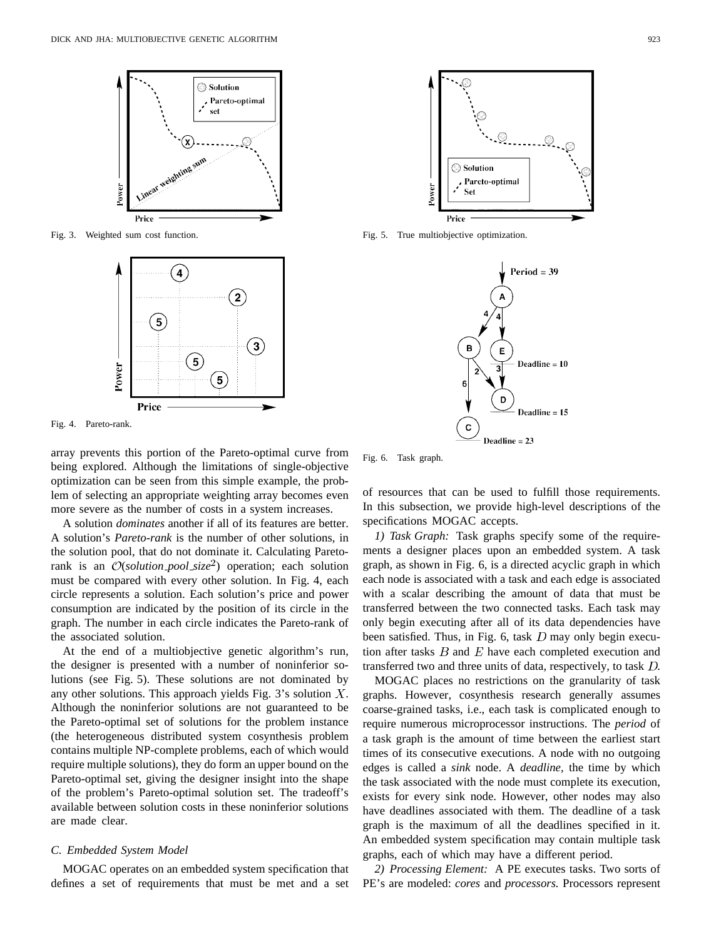

Fig. 3. Weighted sum cost function.



Fig. 4. Pareto-rank.

array prevents this portion of the Pareto-optimal curve from being explored. Although the limitations of single-objective optimization can be seen from this simple example, the problem of selecting an appropriate weighting array becomes even more severe as the number of costs in a system increases.

A solution *dominates* another if all of its features are better. A solution's *Pareto-rank* is the number of other solutions, in the solution pool, that do not dominate it. Calculating Paretorank is an  $\mathcal{O}(solution\text{-}pool\text{-}size^2)$  operation; each solution must be compared with every other solution. In Fig. 4, each circle represents a solution. Each solution's price and power consumption are indicated by the position of its circle in the graph. The number in each circle indicates the Pareto-rank of the associated solution.

At the end of a multiobjective genetic algorithm's run, the designer is presented with a number of noninferior solutions (see Fig. 5). These solutions are not dominated by any other solutions. This approach yields Fig. 3's solution  $X$ . Although the noninferior solutions are not guaranteed to be the Pareto-optimal set of solutions for the problem instance (the heterogeneous distributed system cosynthesis problem contains multiple NP-complete problems, each of which would require multiple solutions), they do form an upper bound on the Pareto-optimal set, giving the designer insight into the shape of the problem's Pareto-optimal solution set. The tradeoff's available between solution costs in these noninferior solutions are made clear.

#### *C. Embedded System Model*

MOGAC operates on an embedded system specification that defines a set of requirements that must be met and a set



Fig. 5. True multiobjective optimization.



Fig. 6. Task graph.

of resources that can be used to fulfill those requirements. In this subsection, we provide high-level descriptions of the specifications MOGAC accepts.

*1) Task Graph:* Task graphs specify some of the requirements a designer places upon an embedded system. A task graph, as shown in Fig. 6, is a directed acyclic graph in which each node is associated with a task and each edge is associated with a scalar describing the amount of data that must be transferred between the two connected tasks. Each task may only begin executing after all of its data dependencies have been satisfied. Thus, in Fig. 6, task  $D$  may only begin execution after tasks  $B$  and  $E$  have each completed execution and transferred two and three units of data, respectively, to task  $D$ .

MOGAC places no restrictions on the granularity of task graphs. However, cosynthesis research generally assumes coarse-grained tasks, i.e., each task is complicated enough to require numerous microprocessor instructions. The *period* of a task graph is the amount of time between the earliest start times of its consecutive executions. A node with no outgoing edges is called a *sink* node. A *deadline,* the time by which the task associated with the node must complete its execution, exists for every sink node. However, other nodes may also have deadlines associated with them. The deadline of a task graph is the maximum of all the deadlines specified in it. An embedded system specification may contain multiple task graphs, each of which may have a different period.

*2) Processing Element:* A PE executes tasks. Two sorts of PE's are modeled: *cores* and *processors.* Processors represent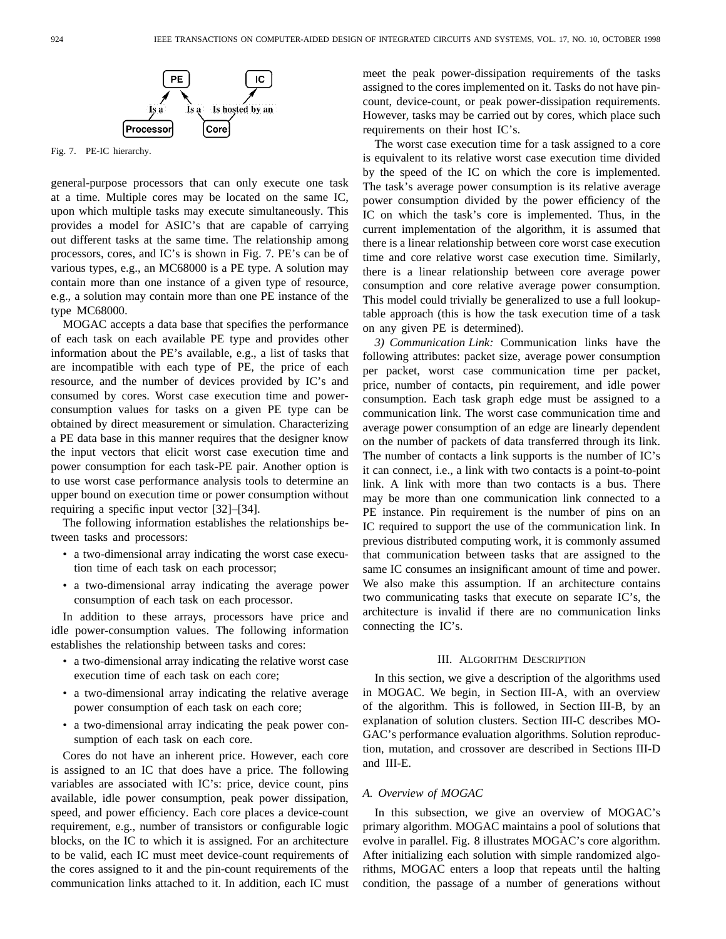

Fig. 7. PE-IC hierarchy.

general-purpose processors that can only execute one task at a time. Multiple cores may be located on the same IC, upon which multiple tasks may execute simultaneously. This provides a model for ASIC's that are capable of carrying out different tasks at the same time. The relationship among processors, cores, and IC's is shown in Fig. 7. PE's can be of various types, e.g., an MC68000 is a PE type. A solution may contain more than one instance of a given type of resource, e.g., a solution may contain more than one PE instance of the type MC68000.

MOGAC accepts a data base that specifies the performance of each task on each available PE type and provides other information about the PE's available, e.g., a list of tasks that are incompatible with each type of PE, the price of each resource, and the number of devices provided by IC's and consumed by cores. Worst case execution time and powerconsumption values for tasks on a given PE type can be obtained by direct measurement or simulation. Characterizing a PE data base in this manner requires that the designer know the input vectors that elicit worst case execution time and power consumption for each task-PE pair. Another option is to use worst case performance analysis tools to determine an upper bound on execution time or power consumption without requiring a specific input vector [32]–[34].

The following information establishes the relationships between tasks and processors:

- a two-dimensional array indicating the worst case execution time of each task on each processor;
- a two-dimensional array indicating the average power consumption of each task on each processor.

In addition to these arrays, processors have price and idle power-consumption values. The following information establishes the relationship between tasks and cores:

- a two-dimensional array indicating the relative worst case execution time of each task on each core;
- a two-dimensional array indicating the relative average power consumption of each task on each core;
- a two-dimensional array indicating the peak power consumption of each task on each core.

Cores do not have an inherent price. However, each core is assigned to an IC that does have a price. The following variables are associated with IC's: price, device count, pins available, idle power consumption, peak power dissipation, speed, and power efficiency. Each core places a device-count requirement, e.g., number of transistors or configurable logic blocks, on the IC to which it is assigned. For an architecture to be valid, each IC must meet device-count requirements of the cores assigned to it and the pin-count requirements of the communication links attached to it. In addition, each IC must

meet the peak power-dissipation requirements of the tasks assigned to the cores implemented on it. Tasks do not have pincount, device-count, or peak power-dissipation requirements. However, tasks may be carried out by cores, which place such requirements on their host IC's.

The worst case execution time for a task assigned to a core is equivalent to its relative worst case execution time divided by the speed of the IC on which the core is implemented. The task's average power consumption is its relative average power consumption divided by the power efficiency of the IC on which the task's core is implemented. Thus, in the current implementation of the algorithm, it is assumed that there is a linear relationship between core worst case execution time and core relative worst case execution time. Similarly, there is a linear relationship between core average power consumption and core relative average power consumption. This model could trivially be generalized to use a full lookuptable approach (this is how the task execution time of a task on any given PE is determined).

*3) Communication Link:* Communication links have the following attributes: packet size, average power consumption per packet, worst case communication time per packet, price, number of contacts, pin requirement, and idle power consumption. Each task graph edge must be assigned to a communication link. The worst case communication time and average power consumption of an edge are linearly dependent on the number of packets of data transferred through its link. The number of contacts a link supports is the number of IC's it can connect, i.e., a link with two contacts is a point-to-point link. A link with more than two contacts is a bus. There may be more than one communication link connected to a PE instance. Pin requirement is the number of pins on an IC required to support the use of the communication link. In previous distributed computing work, it is commonly assumed that communication between tasks that are assigned to the same IC consumes an insignificant amount of time and power. We also make this assumption. If an architecture contains two communicating tasks that execute on separate IC's, the architecture is invalid if there are no communication links connecting the IC's.

#### III. ALGORITHM DESCRIPTION

In this section, we give a description of the algorithms used in MOGAC. We begin, in Section III-A, with an overview of the algorithm. This is followed, in Section III-B, by an explanation of solution clusters. Section III-C describes MO-GAC's performance evaluation algorithms. Solution reproduction, mutation, and crossover are described in Sections III-D and III-E.

# *A. Overview of MOGAC*

In this subsection, we give an overview of MOGAC's primary algorithm. MOGAC maintains a pool of solutions that evolve in parallel. Fig. 8 illustrates MOGAC's core algorithm. After initializing each solution with simple randomized algorithms, MOGAC enters a loop that repeats until the halting condition, the passage of a number of generations without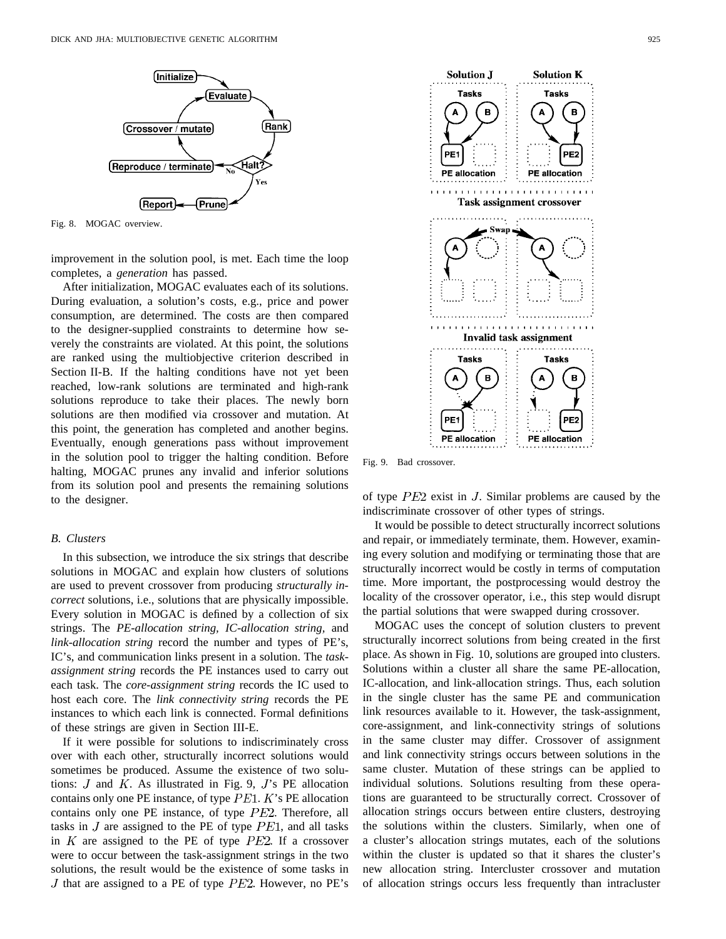

Fig. 8. MOGAC overview.

improvement in the solution pool, is met. Each time the loop completes, a *generation* has passed.

After initialization, MOGAC evaluates each of its solutions. During evaluation, a solution's costs, e.g., price and power consumption, are determined. The costs are then compared to the designer-supplied constraints to determine how severely the constraints are violated. At this point, the solutions are ranked using the multiobjective criterion described in Section II-B. If the halting conditions have not yet been reached, low-rank solutions are terminated and high-rank solutions reproduce to take their places. The newly born solutions are then modified via crossover and mutation. At this point, the generation has completed and another begins. Eventually, enough generations pass without improvement in the solution pool to trigger the halting condition. Before halting, MOGAC prunes any invalid and inferior solutions from its solution pool and presents the remaining solutions to the designer.

# *B. Clusters*

In this subsection, we introduce the six strings that describe solutions in MOGAC and explain how clusters of solutions are used to prevent crossover from producing *structurally incorrect* solutions, i.e., solutions that are physically impossible. Every solution in MOGAC is defined by a collection of six strings. The *PE-allocation string, IC-allocation string,* and *link-allocation string* record the number and types of PE's, IC's, and communication links present in a solution. The *taskassignment string* records the PE instances used to carry out each task. The *core-assignment string* records the IC used to host each core. The *link connectivity string* records the PE instances to which each link is connected. Formal definitions of these strings are given in Section III-E.

If it were possible for solutions to indiscriminately cross over with each other, structurally incorrect solutions would sometimes be produced. Assume the existence of two solutions: J and K. As illustrated in Fig. 9,  $J$ 's PE allocation contains only one PE instance, of type  $PE1$ . K's PE allocation contains only one  $PE$  instance, of type  $PE2$ . Therefore, all tasks in  $J$  are assigned to the PE of type  $PE1$ , and all tasks in  $K$  are assigned to the PE of type  $PE2$ . If a crossover were to occur between the task-assignment strings in the two solutions, the result would be the existence of some tasks in  $J$  that are assigned to a PE of type  $PE2$ . However, no PE's



Fig. 9. Bad crossover.

of type  $PE2$  exist in J. Similar problems are caused by the indiscriminate crossover of other types of strings.

It would be possible to detect structurally incorrect solutions and repair, or immediately terminate, them. However, examining every solution and modifying or terminating those that are structurally incorrect would be costly in terms of computation time. More important, the postprocessing would destroy the locality of the crossover operator, i.e., this step would disrupt the partial solutions that were swapped during crossover.

MOGAC uses the concept of solution clusters to prevent structurally incorrect solutions from being created in the first place. As shown in Fig. 10, solutions are grouped into clusters. Solutions within a cluster all share the same PE-allocation, IC-allocation, and link-allocation strings. Thus, each solution in the single cluster has the same PE and communication link resources available to it. However, the task-assignment, core-assignment, and link-connectivity strings of solutions in the same cluster may differ. Crossover of assignment and link connectivity strings occurs between solutions in the same cluster. Mutation of these strings can be applied to individual solutions. Solutions resulting from these operations are guaranteed to be structurally correct. Crossover of allocation strings occurs between entire clusters, destroying the solutions within the clusters. Similarly, when one of a cluster's allocation strings mutates, each of the solutions within the cluster is updated so that it shares the cluster's new allocation string. Intercluster crossover and mutation of allocation strings occurs less frequently than intracluster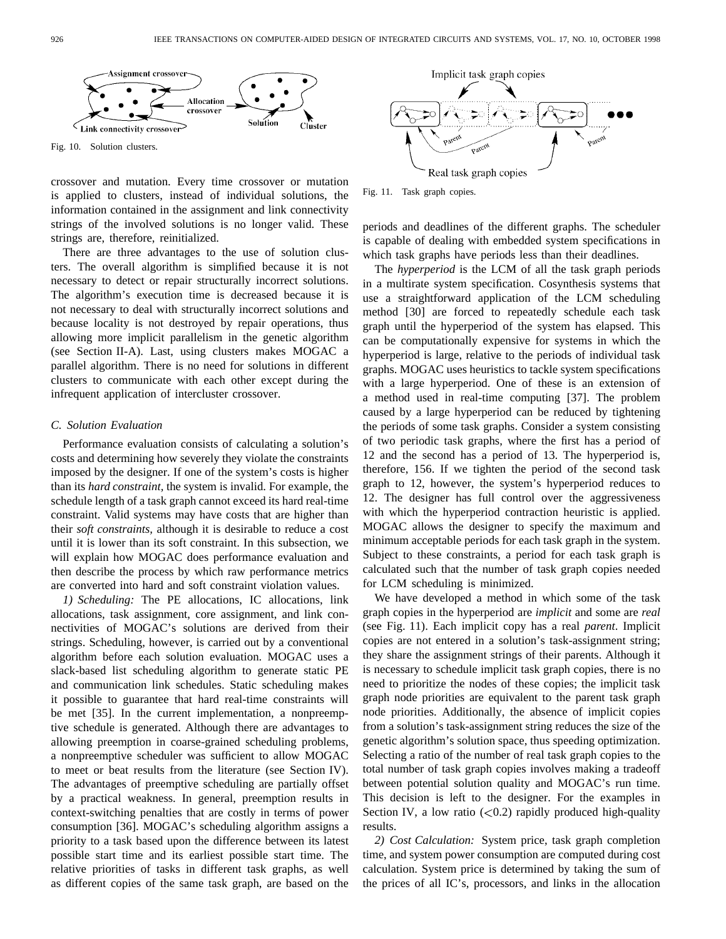

Fig. 10. Solution clusters.

crossover and mutation. Every time crossover or mutation is applied to clusters, instead of individual solutions, the information contained in the assignment and link connectivity strings of the involved solutions is no longer valid. These strings are, therefore, reinitialized.

There are three advantages to the use of solution clusters. The overall algorithm is simplified because it is not necessary to detect or repair structurally incorrect solutions. The algorithm's execution time is decreased because it is not necessary to deal with structurally incorrect solutions and because locality is not destroyed by repair operations, thus allowing more implicit parallelism in the genetic algorithm (see Section II-A). Last, using clusters makes MOGAC a parallel algorithm. There is no need for solutions in different clusters to communicate with each other except during the infrequent application of intercluster crossover.

#### *C. Solution Evaluation*

Performance evaluation consists of calculating a solution's costs and determining how severely they violate the constraints imposed by the designer. If one of the system's costs is higher than its *hard constraint,* the system is invalid. For example, the schedule length of a task graph cannot exceed its hard real-time constraint. Valid systems may have costs that are higher than their *soft constraints,* although it is desirable to reduce a cost until it is lower than its soft constraint. In this subsection, we will explain how MOGAC does performance evaluation and then describe the process by which raw performance metrics are converted into hard and soft constraint violation values.

*1) Scheduling:* The PE allocations, IC allocations, link allocations, task assignment, core assignment, and link connectivities of MOGAC's solutions are derived from their strings. Scheduling, however, is carried out by a conventional algorithm before each solution evaluation. MOGAC uses a slack-based list scheduling algorithm to generate static PE and communication link schedules. Static scheduling makes it possible to guarantee that hard real-time constraints will be met [35]. In the current implementation, a nonpreemptive schedule is generated. Although there are advantages to allowing preemption in coarse-grained scheduling problems, a nonpreemptive scheduler was sufficient to allow MOGAC to meet or beat results from the literature (see Section IV). The advantages of preemptive scheduling are partially offset by a practical weakness. In general, preemption results in context-switching penalties that are costly in terms of power consumption [36]. MOGAC's scheduling algorithm assigns a priority to a task based upon the difference between its latest possible start time and its earliest possible start time. The relative priorities of tasks in different task graphs, as well as different copies of the same task graph, are based on the



Fig. 11. Task graph copies.

periods and deadlines of the different graphs. The scheduler is capable of dealing with embedded system specifications in which task graphs have periods less than their deadlines.

The *hyperperiod* is the LCM of all the task graph periods in a multirate system specification. Cosynthesis systems that use a straightforward application of the LCM scheduling method [30] are forced to repeatedly schedule each task graph until the hyperperiod of the system has elapsed. This can be computationally expensive for systems in which the hyperperiod is large, relative to the periods of individual task graphs. MOGAC uses heuristics to tackle system specifications with a large hyperperiod. One of these is an extension of a method used in real-time computing [37]. The problem caused by a large hyperperiod can be reduced by tightening the periods of some task graphs. Consider a system consisting of two periodic task graphs, where the first has a period of 12 and the second has a period of 13. The hyperperiod is, therefore, 156. If we tighten the period of the second task graph to 12, however, the system's hyperperiod reduces to 12. The designer has full control over the aggressiveness with which the hyperperiod contraction heuristic is applied. MOGAC allows the designer to specify the maximum and minimum acceptable periods for each task graph in the system. Subject to these constraints, a period for each task graph is calculated such that the number of task graph copies needed for LCM scheduling is minimized.

We have developed a method in which some of the task graph copies in the hyperperiod are *implicit* and some are *real* (see Fig. 11). Each implicit copy has a real *parent*. Implicit copies are not entered in a solution's task-assignment string; they share the assignment strings of their parents. Although it is necessary to schedule implicit task graph copies, there is no need to prioritize the nodes of these copies; the implicit task graph node priorities are equivalent to the parent task graph node priorities. Additionally, the absence of implicit copies from a solution's task-assignment string reduces the size of the genetic algorithm's solution space, thus speeding optimization. Selecting a ratio of the number of real task graph copies to the total number of task graph copies involves making a tradeoff between potential solution quality and MOGAC's run time. This decision is left to the designer. For the examples in Section IV, a low ratio  $( $0.2$ ) rapidly produced high-quality$ results.

*2) Cost Calculation:* System price, task graph completion time, and system power consumption are computed during cost calculation. System price is determined by taking the sum of the prices of all IC's, processors, and links in the allocation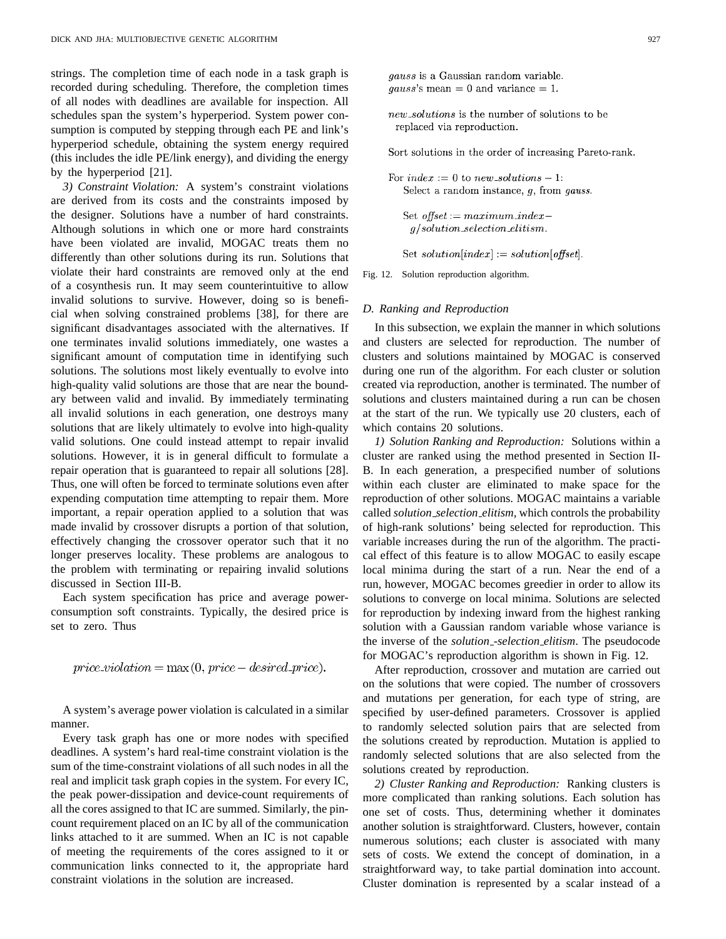strings. The completion time of each node in a task graph is recorded during scheduling. Therefore, the completion times of all nodes with deadlines are available for inspection. All schedules span the system's hyperperiod. System power consumption is computed by stepping through each PE and link's hyperperiod schedule, obtaining the system energy required (this includes the idle PE/link energy), and dividing the energy by the hyperperiod [21].

*3) Constraint Violation:* A system's constraint violations are derived from its costs and the constraints imposed by the designer. Solutions have a number of hard constraints. Although solutions in which one or more hard constraints have been violated are invalid, MOGAC treats them no differently than other solutions during its run. Solutions that violate their hard constraints are removed only at the end of a cosynthesis run. It may seem counterintuitive to allow invalid solutions to survive. However, doing so is beneficial when solving constrained problems [38], for there are significant disadvantages associated with the alternatives. If one terminates invalid solutions immediately, one wastes a significant amount of computation time in identifying such solutions. The solutions most likely eventually to evolve into high-quality valid solutions are those that are near the boundary between valid and invalid. By immediately terminating all invalid solutions in each generation, one destroys many solutions that are likely ultimately to evolve into high-quality valid solutions. One could instead attempt to repair invalid solutions. However, it is in general difficult to formulate a repair operation that is guaranteed to repair all solutions [28]. Thus, one will often be forced to terminate solutions even after expending computation time attempting to repair them. More important, a repair operation applied to a solution that was made invalid by crossover disrupts a portion of that solution, effectively changing the crossover operator such that it no longer preserves locality. These problems are analogous to the problem with terminating or repairing invalid solutions discussed in Section III-B.

Each system specification has price and average powerconsumption soft constraints. Typically, the desired price is set to zero. Thus

$$
price\_violation = \max(0, price - desired\_price).
$$

A system's average power violation is calculated in a similar manner.

Every task graph has one or more nodes with specified deadlines. A system's hard real-time constraint violation is the sum of the time-constraint violations of all such nodes in all the real and implicit task graph copies in the system. For every IC, the peak power-dissipation and device-count requirements of all the cores assigned to that IC are summed. Similarly, the pincount requirement placed on an IC by all of the communication links attached to it are summed. When an IC is not capable of meeting the requirements of the cores assigned to it or communication links connected to it, the appropriate hard constraint violations in the solution are increased.

gauss is a Gaussian random variable. *qauss*'s mean = 0 and variance = 1.

new\_solutions is the number of solutions to be replaced via reproduction.

Sort solutions in the order of increasing Pareto-rank.

For index := 0 to new\_solutions - 1: Select a random instance,  $g$ , from gauss.

Set offset := maximum\_index $g/solution_s electron_e liti sm.$ 

Set solution[index] := solution[offset].

Fig. 12. Solution reproduction algorithm.

#### *D. Ranking and Reproduction*

In this subsection, we explain the manner in which solutions and clusters are selected for reproduction. The number of clusters and solutions maintained by MOGAC is conserved during one run of the algorithm. For each cluster or solution created via reproduction, another is terminated. The number of solutions and clusters maintained during a run can be chosen at the start of the run. We typically use 20 clusters, each of which contains 20 solutions.

*1) Solution Ranking and Reproduction:* Solutions within a cluster are ranked using the method presented in Section II-B. In each generation, a prespecified number of solutions within each cluster are eliminated to make space for the reproduction of other solutions. MOGAC maintains a variable called *solution selection elitism,* which controls the probability of high-rank solutions' being selected for reproduction. This variable increases during the run of the algorithm. The practical effect of this feature is to allow MOGAC to easily escape local minima during the start of a run. Near the end of a run, however, MOGAC becomes greedier in order to allow its solutions to converge on local minima. Solutions are selected for reproduction by indexing inward from the highest ranking solution with a Gaussian random variable whose variance is the inverse of the *solution* -*selection elitism*. The pseudocode for MOGAC's reproduction algorithm is shown in Fig. 12.

After reproduction, crossover and mutation are carried out on the solutions that were copied. The number of crossovers and mutations per generation, for each type of string, are specified by user-defined parameters. Crossover is applied to randomly selected solution pairs that are selected from the solutions created by reproduction. Mutation is applied to randomly selected solutions that are also selected from the solutions created by reproduction.

*2) Cluster Ranking and Reproduction:* Ranking clusters is more complicated than ranking solutions. Each solution has one set of costs. Thus, determining whether it dominates another solution is straightforward. Clusters, however, contain numerous solutions; each cluster is associated with many sets of costs. We extend the concept of domination, in a straightforward way, to take partial domination into account. Cluster domination is represented by a scalar instead of a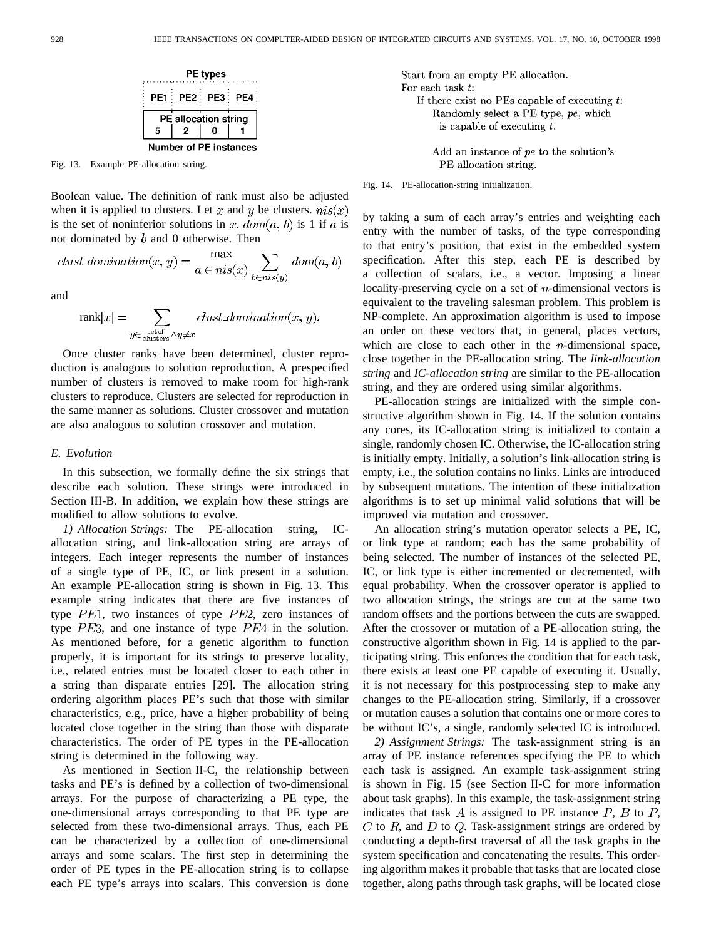| <b>PE</b> types               |                                  |   |  |  |  |  |  |  |
|-------------------------------|----------------------------------|---|--|--|--|--|--|--|
|                               | PE1: PE2: PE3: PE4               |   |  |  |  |  |  |  |
| 5                             | <b>PE allocation string</b><br>2 | 0 |  |  |  |  |  |  |
| <b>Number of PE instances</b> |                                  |   |  |  |  |  |  |  |

Fig. 13. Example PE-allocation string.

Boolean value. The definition of rank must also be adjusted when it is applied to clusters. Let x and y be clusters.  $nis(x)$ is the set of noninferior solutions in x.  $dom(a, b)$  is 1 if a is not dominated by  $b$  and 0 otherwise. Then

$$
clust\text{.}\n domination(x, y) = \max_{a \in \text{nis}(x)} \sum_{b \in \text{nis}(y)} \text{.}\n dom(a, b)
$$

and

$$
rank[x] = \sum_{y \in \frac{\text{sector}}{\text{clusters}} \land y \neq x} dust\text{.}
$$

Once cluster ranks have been determined, cluster reproduction is analogous to solution reproduction. A prespecified number of clusters is removed to make room for high-rank clusters to reproduce. Clusters are selected for reproduction in the same manner as solutions. Cluster crossover and mutation are also analogous to solution crossover and mutation.

#### *E. Evolution*

In this subsection, we formally define the six strings that describe each solution. These strings were introduced in Section III-B. In addition, we explain how these strings are modified to allow solutions to evolve.

*1) Allocation Strings:* The PE-allocation string, ICallocation string, and link-allocation string are arrays of integers. Each integer represents the number of instances of a single type of PE, IC, or link present in a solution. An example PE-allocation string is shown in Fig. 13. This example string indicates that there are five instances of type  $PE1$ , two instances of type  $PE2$ , zero instances of type  $PE3$ , and one instance of type  $PE4$  in the solution. As mentioned before, for a genetic algorithm to function properly, it is important for its strings to preserve locality, i.e., related entries must be located closer to each other in a string than disparate entries [29]. The allocation string ordering algorithm places PE's such that those with similar characteristics, e.g., price, have a higher probability of being located close together in the string than those with disparate characteristics. The order of PE types in the PE-allocation string is determined in the following way.

As mentioned in Section II-C, the relationship between tasks and PE's is defined by a collection of two-dimensional arrays. For the purpose of characterizing a PE type, the one-dimensional arrays corresponding to that PE type are selected from these two-dimensional arrays. Thus, each PE can be characterized by a collection of one-dimensional arrays and some scalars. The first step in determining the order of PE types in the PE-allocation string is to collapse each PE type's arrays into scalars. This conversion is done Start from an empty PE allocation. For each task t: If there exist no PEs capable of executing  $t$ . Randomly select a PE type, pe, which is capable of executing  $t$ . Add an instance of pe to the solution's PE allocation string.

Fig. 14. PE-allocation-string initialization.

by taking a sum of each array's entries and weighting each entry with the number of tasks, of the type corresponding to that entry's position, that exist in the embedded system specification. After this step, each PE is described by a collection of scalars, i.e., a vector. Imposing a linear locality-preserving cycle on a set of  $n$ -dimensional vectors is equivalent to the traveling salesman problem. This problem is NP-complete. An approximation algorithm is used to impose an order on these vectors that, in general, places vectors, which are close to each other in the  $n$ -dimensional space, close together in the PE-allocation string. The *link-allocation string* and *IC-allocation string* are similar to the PE-allocation string, and they are ordered using similar algorithms.

PE-allocation strings are initialized with the simple constructive algorithm shown in Fig. 14. If the solution contains any cores, its IC-allocation string is initialized to contain a single, randomly chosen IC. Otherwise, the IC-allocation string is initially empty. Initially, a solution's link-allocation string is empty, i.e., the solution contains no links. Links are introduced by subsequent mutations. The intention of these initialization algorithms is to set up minimal valid solutions that will be improved via mutation and crossover.

An allocation string's mutation operator selects a PE, IC, or link type at random; each has the same probability of being selected. The number of instances of the selected PE, IC, or link type is either incremented or decremented, with equal probability. When the crossover operator is applied to two allocation strings, the strings are cut at the same two random offsets and the portions between the cuts are swapped. After the crossover or mutation of a PE-allocation string, the constructive algorithm shown in Fig. 14 is applied to the participating string. This enforces the condition that for each task, there exists at least one PE capable of executing it. Usually, it is not necessary for this postprocessing step to make any changes to the PE-allocation string. Similarly, if a crossover or mutation causes a solution that contains one or more cores to be without IC's, a single, randomly selected IC is introduced.

*2) Assignment Strings:* The task-assignment string is an array of PE instance references specifying the PE to which each task is assigned. An example task-assignment string is shown in Fig. 15 (see Section II-C for more information about task graphs). In this example, the task-assignment string indicates that task  $\overline{A}$  is assigned to PE instance  $\overline{P}$ ,  $\overline{B}$  to  $\overline{P}$ ,  $C$  to  $R$ , and  $D$  to  $Q$ . Task-assignment strings are ordered by conducting a depth-first traversal of all the task graphs in the system specification and concatenating the results. This ordering algorithm makes it probable that tasks that are located close together, along paths through task graphs, will be located close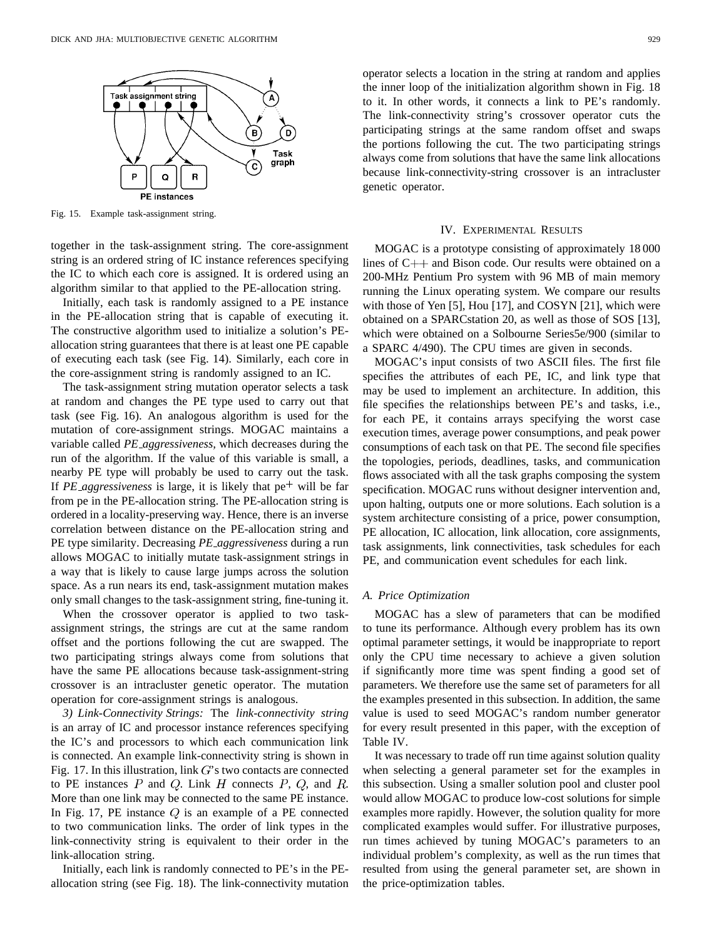

Fig. 15. Example task-assignment string.

together in the task-assignment string. The core-assignment string is an ordered string of IC instance references specifying the IC to which each core is assigned. It is ordered using an algorithm similar to that applied to the PE-allocation string.

Initially, each task is randomly assigned to a PE instance in the PE-allocation string that is capable of executing it. The constructive algorithm used to initialize a solution's PEallocation string guarantees that there is at least one PE capable of executing each task (see Fig. 14). Similarly, each core in the core-assignment string is randomly assigned to an IC.

The task-assignment string mutation operator selects a task at random and changes the PE type used to carry out that task (see Fig. 16). An analogous algorithm is used for the mutation of core-assignment strings. MOGAC maintains a variable called *PE aggressiveness,* which decreases during the run of the algorithm. If the value of this variable is small, a nearby PE type will probably be used to carry out the task. If  $PE\text{-}aggressiveness$  is large, it is likely that  $pe^+$  will be far from pe in the PE-allocation string. The PE-allocation string is ordered in a locality-preserving way. Hence, there is an inverse correlation between distance on the PE-allocation string and PE type similarity. Decreasing *PE aggressiveness* during a run allows MOGAC to initially mutate task-assignment strings in a way that is likely to cause large jumps across the solution space. As a run nears its end, task-assignment mutation makes only small changes to the task-assignment string, fine-tuning it.

When the crossover operator is applied to two taskassignment strings, the strings are cut at the same random offset and the portions following the cut are swapped. The two participating strings always come from solutions that have the same PE allocations because task-assignment-string crossover is an intracluster genetic operator. The mutation operation for core-assignment strings is analogous.

*3) Link-Connectivity Strings:* The *link-connectivity string* is an array of IC and processor instance references specifying the IC's and processors to which each communication link is connected. An example link-connectivity string is shown in Fig. 17. In this illustration, link  $G$ 's two contacts are connected to PE instances  $P$  and  $Q$ . Link  $H$  connects  $P$ ,  $Q$ , and  $R$ . More than one link may be connected to the same PE instance. In Fig. 17, PE instance  $Q$  is an example of a PE connected to two communication links. The order of link types in the link-connectivity string is equivalent to their order in the link-allocation string.

Initially, each link is randomly connected to PE's in the PEallocation string (see Fig. 18). The link-connectivity mutation operator selects a location in the string at random and applies the inner loop of the initialization algorithm shown in Fig. 18 to it. In other words, it connects a link to PE's randomly. The link-connectivity string's crossover operator cuts the participating strings at the same random offset and swaps the portions following the cut. The two participating strings always come from solutions that have the same link allocations because link-connectivity-string crossover is an intracluster genetic operator.

#### IV. EXPERIMENTAL RESULTS

MOGAC is a prototype consisting of approximately 18 000 lines of  $C_{++}$  and Bison code. Our results were obtained on a 200-MHz Pentium Pro system with 96 MB of main memory running the Linux operating system. We compare our results with those of Yen [5], Hou [17], and COSYN [21], which were obtained on a SPARCstation 20, as well as those of SOS [13], which were obtained on a Solbourne Series5e/900 (similar to a SPARC 4/490). The CPU times are given in seconds.

MOGAC's input consists of two ASCII files. The first file specifies the attributes of each PE, IC, and link type that may be used to implement an architecture. In addition, this file specifies the relationships between PE's and tasks, i.e., for each PE, it contains arrays specifying the worst case execution times, average power consumptions, and peak power consumptions of each task on that PE. The second file specifies the topologies, periods, deadlines, tasks, and communication flows associated with all the task graphs composing the system specification. MOGAC runs without designer intervention and, upon halting, outputs one or more solutions. Each solution is a system architecture consisting of a price, power consumption, PE allocation, IC allocation, link allocation, core assignments, task assignments, link connectivities, task schedules for each PE, and communication event schedules for each link.

# *A. Price Optimization*

MOGAC has a slew of parameters that can be modified to tune its performance. Although every problem has its own optimal parameter settings, it would be inappropriate to report only the CPU time necessary to achieve a given solution if significantly more time was spent finding a good set of parameters. We therefore use the same set of parameters for all the examples presented in this subsection. In addition, the same value is used to seed MOGAC's random number generator for every result presented in this paper, with the exception of Table IV.

It was necessary to trade off run time against solution quality when selecting a general parameter set for the examples in this subsection. Using a smaller solution pool and cluster pool would allow MOGAC to produce low-cost solutions for simple examples more rapidly. However, the solution quality for more complicated examples would suffer. For illustrative purposes, run times achieved by tuning MOGAC's parameters to an individual problem's complexity, as well as the run times that resulted from using the general parameter set, are shown in the price-optimization tables.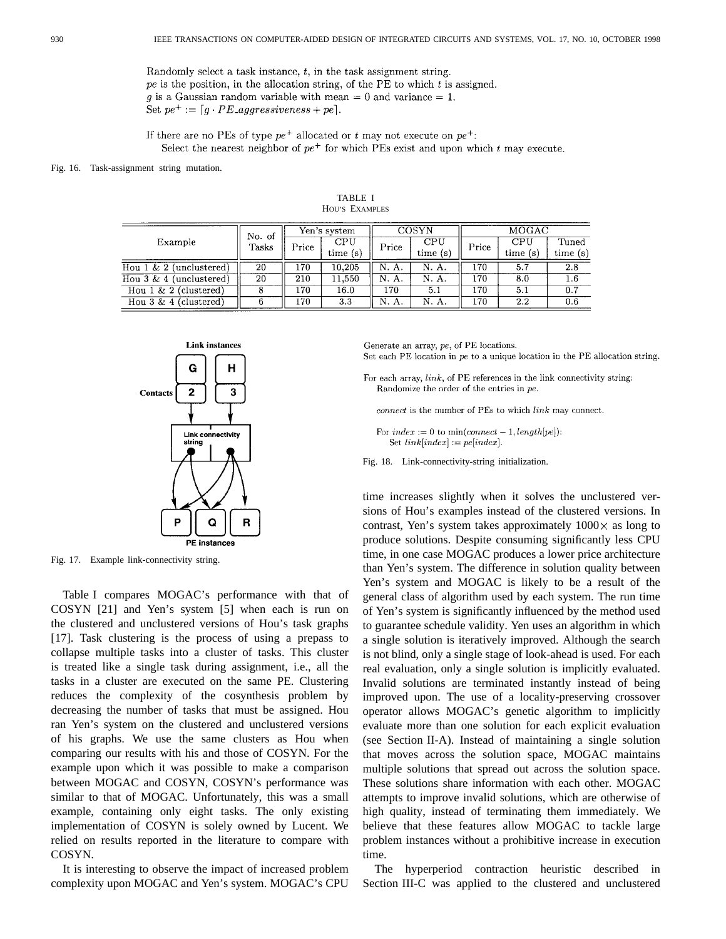Randomly select a task instance,  $t$ , in the task assignment string.  $pe$  is the position, in the allocation string, of the PE to which  $t$  is assigned. g is a Gaussian random variable with mean = 0 and variance = 1. Set  $pe^+ := [g \cdot PE\_\_\_\g$ ressiveness + pe].

If there are no PEs of type  $pe^+$  allocated or t may not execute on  $pe^+$ . Select the nearest neighbor of  $pe^+$  for which PEs exist and upon which t may execute.

## Fig. 16. Task-assignment string mutation.

| Example                      | No. of<br>Tasks | Yen's system |         | COSYN    |            | <b>MOGAC</b> |         |         |
|------------------------------|-----------------|--------------|---------|----------|------------|--------------|---------|---------|
|                              |                 | Price        | CPU     | Price    | <b>CPU</b> | Price        | CPU     | Tuned   |
|                              |                 |              | time(s) |          | time(s)    |              | time(s) | time(s) |
| Hou $1 \& 2$ (unclustered)   | 20              | l 70         | 10,205  | N. A.    | N. A.      | 170          | 5.7     | 2.8     |
| Hou $3 & 4$<br>(unclustered) | 20              | 210          | 11,550  | N. A.    | N. A.      | 170          | 8.0     | $1.6\,$ |
| Hou $1 \& 2$ (clustered)     |                 | 70ء          | 16.0    | .70      | 5.1        | l 70         | 5.1     | 0.7     |
| Hou $3 \& 4$ (clustered)     |                 | l 70         | 3.3     | Ν.<br>А. | N. A.      | .70          | $2.2\,$ | 0.6     |

TABLE I HOU'S EXAMPLES



Fig. 17. Example link-connectivity string.

Table I compares MOGAC's performance with that of COSYN [21] and Yen's system [5] when each is run on the clustered and unclustered versions of Hou's task graphs [17]. Task clustering is the process of using a prepass to collapse multiple tasks into a cluster of tasks. This cluster is treated like a single task during assignment, i.e., all the tasks in a cluster are executed on the same PE. Clustering reduces the complexity of the cosynthesis problem by decreasing the number of tasks that must be assigned. Hou ran Yen's system on the clustered and unclustered versions of his graphs. We use the same clusters as Hou when comparing our results with his and those of COSYN. For the example upon which it was possible to make a comparison between MOGAC and COSYN, COSYN's performance was similar to that of MOGAC. Unfortunately, this was a small example, containing only eight tasks. The only existing implementation of COSYN is solely owned by Lucent. We relied on results reported in the literature to compare with COSYN.

It is interesting to observe the impact of increased problem complexity upon MOGAC and Yen's system. MOGAC's CPU Generate an array,  $pe$ , of PE locations. Set each PE location in pe to a unique location in the PE allocation string.

For each array,  $link$ , of PE references in the link connectivity string: Randomize the order of the entries in pe.

connect is the number of PEs to which link may connect.

For  $index := 0$  to  $min(connect - 1, length[pe])$ : Set  $link[index] := pelindex].$ 

Fig. 18. Link-connectivity-string initialization.

time increases slightly when it solves the unclustered versions of Hou's examples instead of the clustered versions. In contrast, Yen's system takes approximately  $1000 \times$  as long to produce solutions. Despite consuming significantly less CPU time, in one case MOGAC produces a lower price architecture than Yen's system. The difference in solution quality between Yen's system and MOGAC is likely to be a result of the general class of algorithm used by each system. The run time of Yen's system is significantly influenced by the method used to guarantee schedule validity. Yen uses an algorithm in which a single solution is iteratively improved. Although the search is not blind, only a single stage of look-ahead is used. For each real evaluation, only a single solution is implicitly evaluated. Invalid solutions are terminated instantly instead of being improved upon. The use of a locality-preserving crossover operator allows MOGAC's genetic algorithm to implicitly evaluate more than one solution for each explicit evaluation (see Section II-A). Instead of maintaining a single solution that moves across the solution space, MOGAC maintains multiple solutions that spread out across the solution space. These solutions share information with each other. MOGAC attempts to improve invalid solutions, which are otherwise of high quality, instead of terminating them immediately. We believe that these features allow MOGAC to tackle large problem instances without a prohibitive increase in execution time.

The hyperperiod contraction heuristic described in Section III-C was applied to the clustered and unclustered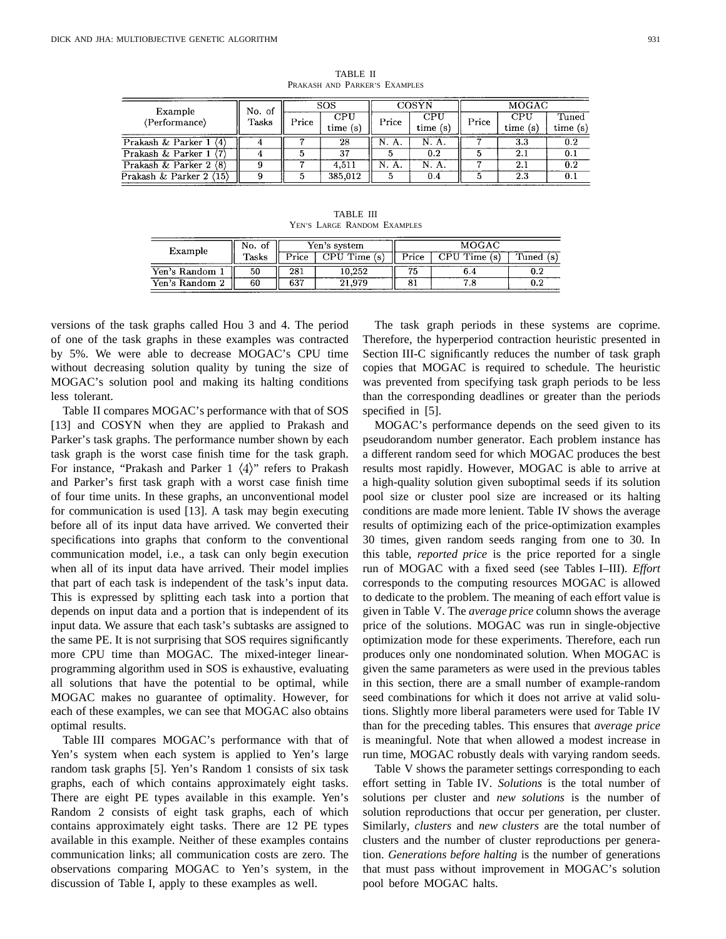| Example<br>(Performance)                | No. of<br>Tasks | SOS   |            | COSYN |            | <b>MOGAC</b> |          |         |
|-----------------------------------------|-----------------|-------|------------|-------|------------|--------------|----------|---------|
|                                         |                 | Price | <b>CPU</b> | Price | <b>CPU</b> | Price        | CPU      | Tuned   |
|                                         |                 |       | time(s)    |       | time(s)    |              | time (s) | time(s) |
| Prakash & Parker 1<br>4                 |                 |       | 28         | N.A.  | N. A.      |              | 3.3      | 0.2     |
| Prakash & Parker 1                      |                 |       | 37         |       | 0.2        |              | 2.1      | 0.1     |
| Prakash & Parker 2 (8)                  |                 |       | 4.511      | N. A. | N. A.      |              | 2.1      | 0.2     |
| Prakash & Parker 2 $\langle 15 \rangle$ |                 |       | 385,012    |       | 0.4        |              | 2.3      | 0.1     |

TABLE II PRAKASH AND PARKER'S EXAMPLES

TABLE III YEN'S LARGE RANDOM EXAMPLES

| Example        | No. of |       | Yen's system     | MOGAC |              |       |  |
|----------------|--------|-------|------------------|-------|--------------|-------|--|
|                | Tasks  | Price | $CPU$ Time $(s)$ | Price | CPU Time (s) | Tuned |  |
| Yen's Random 1 | 50     | 281   | 10,252           | 75    |              | 0.2   |  |
| Yen's Random 2 | 60     | 637   | 21.979           | oі    |              | 0.2   |  |

versions of the task graphs called Hou 3 and 4. The period of one of the task graphs in these examples was contracted by 5%. We were able to decrease MOGAC's CPU time without decreasing solution quality by tuning the size of MOGAC's solution pool and making its halting conditions less tolerant.

Table II compares MOGAC's performance with that of SOS [13] and COSYN when they are applied to Prakash and Parker's task graphs. The performance number shown by each task graph is the worst case finish time for the task graph. For instance, "Prakash and Parker 1  $\langle 4 \rangle$ " refers to Prakash and Parker's first task graph with a worst case finish time of four time units. In these graphs, an unconventional model for communication is used [13]. A task may begin executing before all of its input data have arrived. We converted their specifications into graphs that conform to the conventional communication model, i.e., a task can only begin execution when all of its input data have arrived. Their model implies that part of each task is independent of the task's input data. This is expressed by splitting each task into a portion that depends on input data and a portion that is independent of its input data. We assure that each task's subtasks are assigned to the same PE. It is not surprising that SOS requires significantly more CPU time than MOGAC. The mixed-integer linearprogramming algorithm used in SOS is exhaustive, evaluating all solutions that have the potential to be optimal, while MOGAC makes no guarantee of optimality. However, for each of these examples, we can see that MOGAC also obtains optimal results.

Table III compares MOGAC's performance with that of Yen's system when each system is applied to Yen's large random task graphs [5]. Yen's Random 1 consists of six task graphs, each of which contains approximately eight tasks. There are eight PE types available in this example. Yen's Random 2 consists of eight task graphs, each of which contains approximately eight tasks. There are 12 PE types available in this example. Neither of these examples contains communication links; all communication costs are zero. The observations comparing MOGAC to Yen's system, in the discussion of Table I, apply to these examples as well.

The task graph periods in these systems are coprime. Therefore, the hyperperiod contraction heuristic presented in Section III-C significantly reduces the number of task graph copies that MOGAC is required to schedule. The heuristic was prevented from specifying task graph periods to be less than the corresponding deadlines or greater than the periods specified in [5].

MOGAC's performance depends on the seed given to its pseudorandom number generator. Each problem instance has a different random seed for which MOGAC produces the best results most rapidly. However, MOGAC is able to arrive at a high-quality solution given suboptimal seeds if its solution pool size or cluster pool size are increased or its halting conditions are made more lenient. Table IV shows the average results of optimizing each of the price-optimization examples 30 times, given random seeds ranging from one to 30. In this table, *reported price* is the price reported for a single run of MOGAC with a fixed seed (see Tables I–III). *Effort* corresponds to the computing resources MOGAC is allowed to dedicate to the problem. The meaning of each effort value is given in Table V. The *average price* column shows the average price of the solutions. MOGAC was run in single-objective optimization mode for these experiments. Therefore, each run produces only one nondominated solution. When MOGAC is given the same parameters as were used in the previous tables in this section, there are a small number of example-random seed combinations for which it does not arrive at valid solutions. Slightly more liberal parameters were used for Table IV than for the preceding tables. This ensures that *average price* is meaningful. Note that when allowed a modest increase in run time, MOGAC robustly deals with varying random seeds.

Table V shows the parameter settings corresponding to each effort setting in Table IV. *Solutions* is the total number of solutions per cluster and *new solutions* is the number of solution reproductions that occur per generation, per cluster. Similarly, *clusters* and *new clusters* are the total number of clusters and the number of cluster reproductions per generation. *Generations before halting* is the number of generations that must pass without improvement in MOGAC's solution pool before MOGAC halts.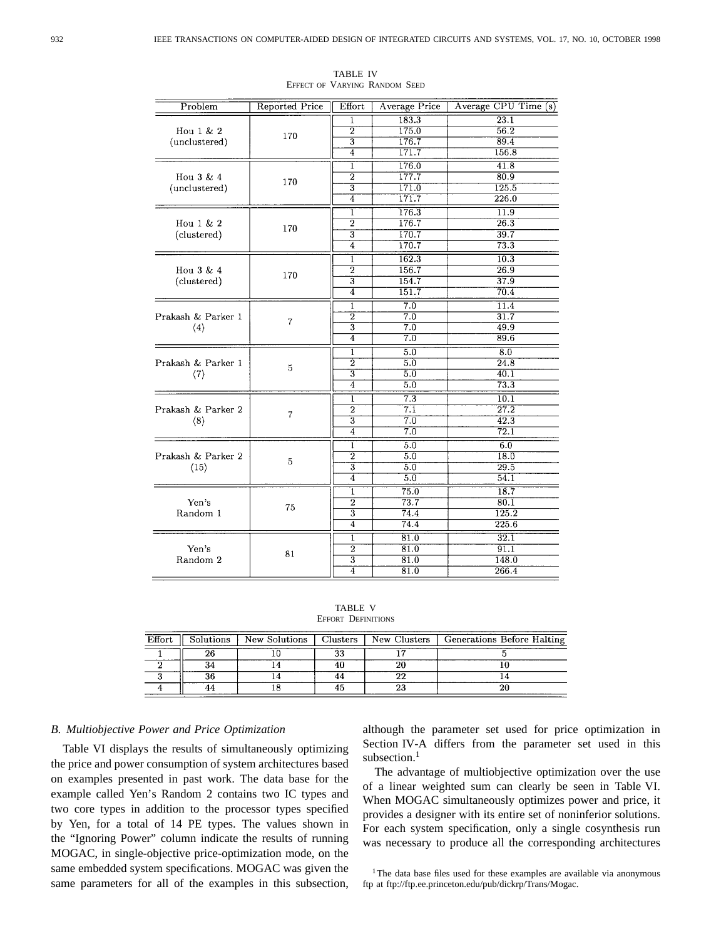|                              |                |                           |                      | Average CPU Time (s) |
|------------------------------|----------------|---------------------------|----------------------|----------------------|
| Problem                      | Reported Price | Effort                    | <b>Average Price</b> |                      |
|                              |                | $\mathbf{1}$              | 183.3                | $\overline{23.1}$    |
| Hou $1 & 2$<br>(unclustered) | 170            | 2                         | 175.0                | 56.2                 |
|                              |                | $\overline{\overline{3}}$ | 176.7                | 89.4                 |
|                              |                | 4                         | 171.7                | 156.8                |
|                              |                | $\bf{1}$                  | 176.0                | 41.8                 |
| Hou 3 & 4                    | 170            | $\overline{2}$            | 177.7                | 80.9                 |
| (unclustered)                |                | $\overline{\overline{3}}$ | 171.0                | 125.5                |
|                              |                | $\overline{4}$            | 171.7                | 226.0                |
|                              |                | 1                         | 176.3                | 11.9                 |
| Hou 1 & 2                    | 170            | $\overline{2}$            | 176.7                | $\overline{26.3}$    |
| (clustered)                  |                | $\overline{\overline{3}}$ | 170.7                | 39.7                 |
|                              |                | 4                         | 170.7                | 73.3                 |
|                              |                | 1                         | 162.3                | 10.3                 |
| Hou 3 & 4                    |                | $\overline{2}$            | 156.7                | 26.9                 |
| (clustered)                  | 170            | $\overline{\overline{3}}$ | 154.7                | 37.9                 |
|                              |                | $\overline{4}$            | 151.7                | 70.4                 |
|                              | $\overline{7}$ | 1                         | 7.0                  | 11.4                 |
| Prakash & Parker 1           |                | $\overline{2}$            | 7.0                  | 31.7                 |
| $\langle 4 \rangle$          |                | $\overline{\overline{3}}$ | 7.0                  | 49.9                 |
|                              |                | 4                         | 7.0                  | 89.6                 |
|                              | $\overline{5}$ | 1                         | 5.0                  | 8.0                  |
| Prakash & Parker 1           |                | $\overline{2}$            | 5.0                  | $\overline{24.8}$    |
| $\langle 7 \rangle$          |                | $\overline{3}$            | 5.0                  | 40.1                 |
|                              |                | $\overline{4}$            | 5.0                  | 73.3                 |
|                              |                |                           | 7.3                  | $\overline{10.1}$    |
| Prakash & Parker 2           |                | 1<br>$\overline{2}$       | $\overline{7.1}$     | $\overline{27.2}$    |
|                              | $\overline{7}$ | 3                         | 7.0                  | 42.3                 |
| $\langle 8 \rangle$          |                | $\overline{4}$            | 7.0                  | 72.1                 |
|                              |                |                           |                      |                      |
|                              |                | 1                         | $\overline{5.0}$     | $\overline{6.0}$     |
| Prakash & Parker 2           | 5              | 2                         | 50                   | 18.0                 |
| $\langle 15 \rangle$         |                | $\overline{3}$            | 5.0                  | 29.5                 |
|                              |                | $\overline{4}$            | 5.0                  | 54.1                 |
|                              |                | 1                         | 75.0                 | 18.7                 |
| Yen's                        | 75             | $\overline{2}$            | 73.7                 | 80.1                 |
| Random 1                     |                | 3                         | 74.4                 | 125.2                |
|                              |                | $\overline{4}$            | 74.4                 | 225.6                |
|                              |                | 1                         | 81.0                 | 32.1                 |
| Yen's                        | 81             | $\overline{2}$            | 81.0                 | 91.1                 |
| Random <sub>2</sub>          |                | 3                         | 81.0                 | 148.0                |
|                              |                | 4                         | 81.0                 | 266.4                |

TABLE IV EFFECT OF VARYING RANDOM SEED

TABLE V EFFORT DEFINITIONS

| Effort | Solutions | New Solutions   Clusters |  | New Clusters   Generations Before Halting |
|--------|-----------|--------------------------|--|-------------------------------------------|
|        |           |                          |  |                                           |
|        |           |                          |  |                                           |
|        |           |                          |  |                                           |
|        |           |                          |  |                                           |

# *B. Multiobjective Power and Price Optimization*

Table VI displays the results of simultaneously optimizing the price and power consumption of system architectures based on examples presented in past work. The data base for the example called Yen's Random 2 contains two IC types and two core types in addition to the processor types specified by Yen, for a total of 14 PE types. The values shown in the "Ignoring Power" column indicate the results of running MOGAC, in single-objective price-optimization mode, on the same embedded system specifications. MOGAC was given the same parameters for all of the examples in this subsection,

although the parameter set used for price optimization in Section IV-A differs from the parameter set used in this subsection.<sup>1</sup>

The advantage of multiobjective optimization over the use of a linear weighted sum can clearly be seen in Table VI. When MOGAC simultaneously optimizes power and price, it provides a designer with its entire set of noninferior solutions. For each system specification, only a single cosynthesis run was necessary to produce all the corresponding architectures

<sup>1</sup>The data base files used for these examples are available via anonymous ftp at ftp://ftp.ee.princeton.edu/pub/dickrp/Trans/Mogac.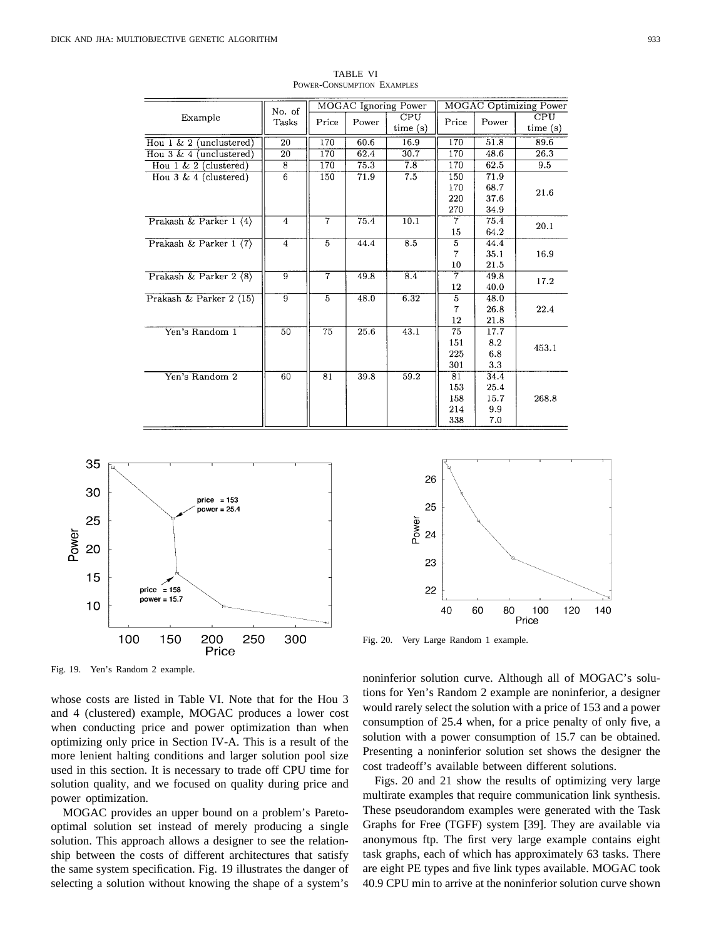|                                        | No. of          |                |       | MOGAC Ignoring Power | <b>MOGAC Optimizing Power</b> |       |                |
|----------------------------------------|-----------------|----------------|-------|----------------------|-------------------------------|-------|----------------|
| Example                                | Tasks           | Price          | Power | CPU<br>time(s)       | Price                         | Power | CPU<br>time(s) |
| Hou $1 \& 2$ (unclustered)             | 20              | 170            | 60.6  | 16.9                 | 170                           | 51.8  | 89.6           |
| Hou $3 \& 4$ (unclustered)             | 20              | 170            | 62.4  | 30.7                 | 170                           | 48.6  | 26.3           |
| Hou $1 \& 2$ (clustered)               | $\overline{8}$  | 170            | 75.3  | 7.8                  | 170                           | 62.5  | 9.5            |
| Hou $3 \& 4$ (clustered)               | $\overline{6}$  | 150            | 71.9  | 7.5                  | 150                           | 71.9  |                |
|                                        |                 |                |       |                      | 170                           | 68.7  | 21.6           |
|                                        |                 |                |       |                      | 220                           | 37.6  |                |
|                                        |                 |                |       |                      | 270                           | 34.9  |                |
| Prakash & Parker $1 \langle 4 \rangle$ | 4               | 7              | 75.4  | 10.1                 | 7                             | 75.4  | 20.1           |
|                                        |                 |                |       |                      | 15                            | 64.2  |                |
| Prakash & Parker 1 (7)                 | $\overline{4}$  | 5              | 44.4  | 8.5                  | $\overline{5}$                | 44.4  |                |
|                                        |                 |                |       |                      | 7                             | 35.1  | 16.9           |
|                                        |                 |                |       |                      | 10                            | 21.5  |                |
| Prakash & Parker 2 $\langle 8 \rangle$ | $\overline{9}$  | $\overline{7}$ | 49.8  | 8.4                  | 7                             | 49.8  | 17.2           |
|                                        |                 |                |       |                      | 12                            | 40.0  |                |
| Prakash & Parker $2\langle 15 \rangle$ | $\overline{9}$  | $\overline{5}$ | 48.0  | 6.32                 | 5                             | 48.0  |                |
|                                        |                 |                |       |                      | 7                             | 26.8  | 22.4           |
|                                        |                 |                |       |                      | 12                            | 21.8  |                |
| Yen's Random 1                         | $\overline{50}$ | 75             | 25.6  | 43.1                 | 75                            | 17.7  |                |
|                                        |                 |                |       |                      | 151                           | 8.2   | 453.1          |
|                                        |                 |                |       |                      | 225                           | 6.8   |                |
|                                        |                 |                |       |                      | 301                           | 3.3   |                |
| Yen's Random 2                         | 60              | 81             | 39.8  | 59.2                 | 81                            | 34.4  |                |
|                                        |                 |                |       |                      | 153                           | 25.4  |                |
|                                        |                 |                |       |                      | 158                           | 15.7  | 268.8          |
|                                        |                 |                |       |                      | 214                           | 9.9   |                |
|                                        |                 |                |       |                      | 338                           | 7.0   |                |

TABLE VI POWER-CONSUMPTION EXAMPLES



Fig. 19. Yen's Random 2 example.

whose costs are listed in Table VI. Note that for the Hou 3 and 4 (clustered) example, MOGAC produces a lower cost when conducting price and power optimization than when optimizing only price in Section IV-A. This is a result of the more lenient halting conditions and larger solution pool size used in this section. It is necessary to trade off CPU time for solution quality, and we focused on quality during price and power optimization.

MOGAC provides an upper bound on a problem's Paretooptimal solution set instead of merely producing a single solution. This approach allows a designer to see the relationship between the costs of different architectures that satisfy the same system specification. Fig. 19 illustrates the danger of selecting a solution without knowing the shape of a system's



Fig. 20. Very Large Random 1 example.

noninferior solution curve. Although all of MOGAC's solutions for Yen's Random 2 example are noninferior, a designer would rarely select the solution with a price of 153 and a power consumption of 25.4 when, for a price penalty of only five, a solution with a power consumption of 15.7 can be obtained. Presenting a noninferior solution set shows the designer the cost tradeoff's available between different solutions.

Figs. 20 and 21 show the results of optimizing very large multirate examples that require communication link synthesis. These pseudorandom examples were generated with the Task Graphs for Free (TGFF) system [39]. They are available via anonymous ftp. The first very large example contains eight task graphs, each of which has approximately 63 tasks. There are eight PE types and five link types available. MOGAC took 40.9 CPU min to arrive at the noninferior solution curve shown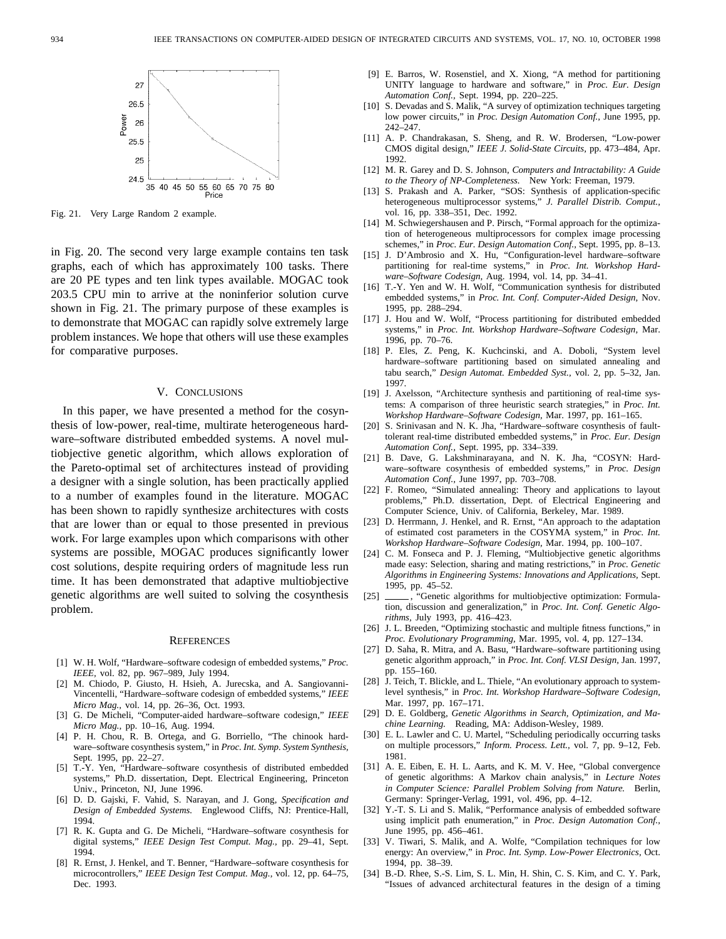

Fig. 21. Very Large Random 2 example.

in Fig. 20. The second very large example contains ten task graphs, each of which has approximately 100 tasks. There are 20 PE types and ten link types available. MOGAC took 203.5 CPU min to arrive at the noninferior solution curve shown in Fig. 21. The primary purpose of these examples is to demonstrate that MOGAC can rapidly solve extremely large problem instances. We hope that others will use these examples for comparative purposes.

# V. CONCLUSIONS

In this paper, we have presented a method for the cosynthesis of low-power, real-time, multirate heterogeneous hardware–software distributed embedded systems. A novel multiobjective genetic algorithm, which allows exploration of the Pareto-optimal set of architectures instead of providing a designer with a single solution, has been practically applied to a number of examples found in the literature. MOGAC has been shown to rapidly synthesize architectures with costs that are lower than or equal to those presented in previous work. For large examples upon which comparisons with other systems are possible, MOGAC produces significantly lower cost solutions, despite requiring orders of magnitude less run time. It has been demonstrated that adaptive multiobjective genetic algorithms are well suited to solving the cosynthesis problem.

#### **REFERENCES**

- [1] W. H. Wolf, "Hardware–software codesign of embedded systems," *Proc. IEEE,* vol. 82, pp. 967–989, July 1994.
- [2] M. Chiodo, P. Giusto, H. Hsieh, A. Jurecska, and A. Sangiovanni-Vincentelli, "Hardware–software codesign of embedded systems," *IEEE Micro Mag.,* vol. 14, pp. 26–36, Oct. 1993.
- [3] G. De Micheli, "Computer-aided hardware–software codesign," *IEEE Micro Mag.,* pp. 10–16, Aug. 1994.
- [4] P. H. Chou, R. B. Ortega, and G. Borriello, "The chinook hardware–software cosynthesis system," in *Proc. Int. Symp. System Synthesis,* Sept. 1995, pp. 22–27.
- [5] T.-Y. Yen, "Hardware–software cosynthesis of distributed embedded systems," Ph.D. dissertation, Dept. Electrical Engineering, Princeton Univ., Princeton, NJ, June 1996.
- [6] D. D. Gajski, F. Vahid, S. Narayan, and J. Gong, *Specification and Design of Embedded Systems.* Englewood Cliffs, NJ: Prentice-Hall, 1994.
- [7] R. K. Gupta and G. De Micheli, "Hardware–software cosynthesis for digital systems," *IEEE Design Test Comput. Mag.,* pp. 29–41, Sept. 1994.
- [8] R. Ernst, J. Henkel, and T. Benner, "Hardware–software cosynthesis for microcontrollers," *IEEE Design Test Comput. Mag.,* vol. 12, pp. 64–75, Dec. 1993.
- [9] E. Barros, W. Rosenstiel, and X. Xiong, "A method for partitioning UNITY language to hardware and software," in *Proc. Eur. Design Automation Conf.,* Sept. 1994, pp. 220–225.
- [10] S. Devadas and S. Malik, "A survey of optimization techniques targeting low power circuits," in *Proc. Design Automation Conf.,* June 1995, pp. 242–247.
- [11] A. P. Chandrakasan, S. Sheng, and R. W. Brodersen, "Low-power CMOS digital design," *IEEE J. Solid-State Circuits,* pp. 473–484, Apr. 1992.
- [12] M. R. Garey and D. S. Johnson, *Computers and Intractability: A Guide to the Theory of NP-Completeness.* New York: Freeman, 1979.
- [13] S. Prakash and A. Parker, "SOS: Synthesis of application-specific heterogeneous multiprocessor systems," *J. Parallel Distrib. Comput.,* vol. 16, pp. 338–351, Dec. 1992.
- [14] M. Schwiegershausen and P. Pirsch, "Formal approach for the optimization of heterogeneous multiprocessors for complex image processing schemes," in *Proc. Eur. Design Automation Conf.,* Sept. 1995, pp. 8–13.
- [15] J. D'Ambrosio and X. Hu, "Configuration-level hardware-software partitioning for real-time systems," in *Proc. Int. Workshop Hardware–Software Codesign,* Aug. 1994, vol. 14, pp. 34–41.
- [16] T.-Y. Yen and W. H. Wolf, "Communication synthesis for distributed embedded systems," in *Proc. Int. Conf. Computer-Aided Design,* Nov. 1995, pp. 288–294.
- [17] J. Hou and W. Wolf, "Process partitioning for distributed embedded systems," in *Proc. Int. Workshop Hardware–Software Codesign,* Mar. 1996, pp. 70–76.
- [18] P. Eles, Z. Peng, K. Kuchcinski, and A. Doboli, "System level hardware–software partitioning based on simulated annealing and tabu search," *Design Automat. Embedded Syst.,* vol. 2, pp. 5–32, Jan. 1997.
- [19] J. Axelsson, "Architecture synthesis and partitioning of real-time systems: A comparison of three heuristic search strategies," in *Proc. Int. Workshop Hardware–Software Codesign,* Mar. 1997, pp. 161–165.
- [20] S. Srinivasan and N. K. Jha, "Hardware–software cosynthesis of faulttolerant real-time distributed embedded systems," in *Proc. Eur. Design Automation Conf.,* Sept. 1995, pp. 334–339.
- [21] B. Dave, G. Lakshminarayana, and N. K. Jha, "COSYN: Hardware–software cosynthesis of embedded systems," in *Proc. Design Automation Conf.,* June 1997, pp. 703–708.
- [22] F. Romeo, "Simulated annealing: Theory and applications to layout problems," Ph.D. dissertation, Dept. of Electrical Engineering and Computer Science, Univ. of California, Berkeley, Mar. 1989.
- [23] D. Herrmann, J. Henkel, and R. Ernst, "An approach to the adaptation of estimated cost parameters in the COSYMA system," in *Proc. Int. Workshop Hardware–Software Codesign,* Mar. 1994, pp. 100–107.
- [24] C. M. Fonseca and P. J. Fleming, "Multiobjective genetic algorithms made easy: Selection, sharing and mating restrictions," in *Proc. Genetic Algorithms in Engineering Systems: Innovations and Applications,* Sept. 1995, pp. 45–52.
- [25] \_\_\_\_\_, "Genetic algorithms for multiobjective optimization: Formulation, discussion and generalization," in *Proc. Int. Conf. Genetic Algorithms,* July 1993, pp. 416–423.
- [26] J. L. Breeden, "Optimizing stochastic and multiple fitness functions," in *Proc. Evolutionary Programming,* Mar. 1995, vol. 4, pp. 127–134.
- [27] D. Saha, R. Mitra, and A. Basu, "Hardware–software partitioning using genetic algorithm approach," in *Proc. Int. Conf. VLSI Design,* Jan. 1997, pp. 155–160.
- [28] J. Teich, T. Blickle, and L. Thiele, "An evolutionary approach to systemlevel synthesis," in *Proc. Int. Workshop Hardware–Software Codesign,* Mar. 1997, pp. 167–171.
- [29] D. E. Goldberg, *Genetic Algorithms in Search, Optimization, and Machine Learning.* Reading, MA: Addison-Wesley, 1989.
- [30] E. L. Lawler and C. U. Martel, "Scheduling periodically occurring tasks on multiple processors," *Inform. Process. Lett.,* vol. 7, pp. 9–12, Feb. 1981.
- [31] A. E. Eiben, E. H. L. Aarts, and K. M. V. Hee, "Global convergence of genetic algorithms: A Markov chain analysis," in *Lecture Notes in Computer Science: Parallel Problem Solving from Nature.* Berlin, Germany: Springer-Verlag, 1991, vol. 496, pp. 4–12.
- [32] Y.-T. S. Li and S. Malik, "Performance analysis of embedded software using implicit path enumeration," in *Proc. Design Automation Conf.,* June 1995, pp. 456–461.
- [33] V. Tiwari, S. Malik, and A. Wolfe, "Compilation techniques for low energy: An overview," in *Proc. Int. Symp. Low-Power Electronics,* Oct. 1994, pp. 38–39.
- [34] B.-D. Rhee, S.-S. Lim, S. L. Min, H. Shin, C. S. Kim, and C. Y. Park, "Issues of advanced architectural features in the design of a timing